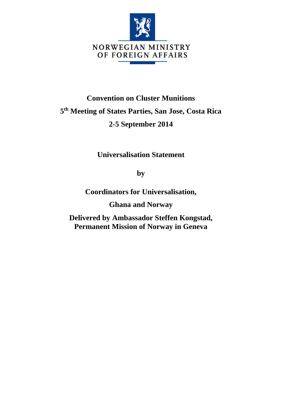

## **Convention on Cluster Munitions 5 th Meeting of States Parties, San Jose, Costa Rica 2-5 September 2014**

**Universalisation Statement** 

**by**

**Coordinators for Universalisation,**

**Ghana and Norway**

**Delivered by Ambassador Steffen Kongstad, Permanent Mission of Norway in Geneva**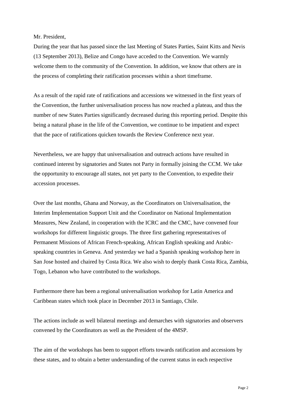Mr. President,

During the year that has passed since the last Meeting of States Parties, Saint Kitts and Nevis (13 September 2013), Belize and Congo have acceded to the Convention. We warmly welcome them to the community of the Convention. In addition, we know that others are in the process of completing their ratification processes within a short timeframe.

As a result of the rapid rate of ratifications and accessions we witnessed in the first years of the Convention, the further universalisation process has now reached a plateau, and thus the number of new States Parties significantly decreased during this reporting period. Despite this being a natural phase in the life of the Convention, we continue to be impatient and expect that the pace of ratifications quicken towards the Review Conference next year.

Nevertheless, we are happy that universalisation and outreach actions have resulted in continued interest by signatories and States not Party in formally joining the CCM. We take the opportunity to encourage all states, not yet party to the Convention, to expedite their accession processes.

Over the last months, Ghana and Norway, as the Coordinators on Universalisation, the Interim Implementation Support Unit and the Coordinator on National Implementation Measures, New Zealand, in cooperation with the ICRC and the CMC, have convened four workshops for different linguistic groups. The three first gathering representatives of Permanent Missions of African French-speaking, African English speaking and Arabicspeaking countries in Geneva. And yesterday we had a Spanish speaking workshop here in San Jose hosted and chaired by Costa Rica. We also wish to deeply thank Costa Rica, Zambia, Togo, Lebanon who have contributed to the workshops.

Furthermore there has been a regional universalisation workshop for Latin America and Caribbean states which took place in December 2013 in Santiago, Chile.

The actions include as well bilateral meetings and demarches with signatories and observers convened by the Coordinators as well as the President of the 4MSP.

The aim of the workshops has been to support efforts towards ratification and accessions by these states, and to obtain a better understanding of the current status in each respective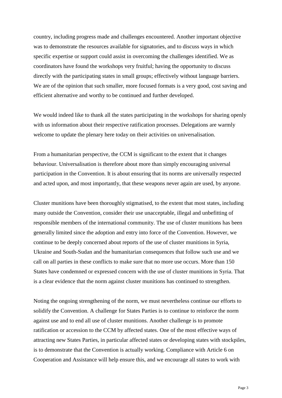country, including progress made and challenges encountered. Another important objective was to demonstrate the resources available for signatories, and to discuss ways in which specific expertise or support could assist in overcoming the challenges identified. We as coordinators have found the workshops very fruitful; having the opportunity to discuss directly with the participating states in small groups; effectively without language barriers. We are of the opinion that such smaller, more focused formats is a very good, cost saving and efficient alternative and worthy to be continued and further developed.

We would indeed like to thank all the states participating in the workshops for sharing openly with us information about their respective ratification processes. Delegations are warmly welcome to update the plenary here today on their activities on universalisation.

From a humanitarian perspective, the CCM is significant to the extent that it changes behaviour. Universalisation is therefore about more than simply encouraging universal participation in the Convention. It is about ensuring that its norms are universally respected and acted upon, and most importantly, that these weapons never again are used, by anyone.

Cluster munitions have been thoroughly stigmatised, to the extent that most states, including many outside the Convention, consider their use unacceptable, illegal and unbefitting of responsible members of the international community. The use of cluster munitions has been generally limited since the adoption and entry into force of the Convention. However, we continue to be deeply concerned about reports of the use of cluster munitions in Syria, Ukraine and South-Sudan and the humanitarian consequences that follow such use and we call on all parties in these conflicts to make sure that no more use occurs. More than 150 States have condemned or expressed concern with the use of cluster munitions in Syria. That is a clear evidence that the norm against cluster munitions has continued to strengthen.

Noting the ongoing strengthening of the norm, we must nevertheless continue our efforts to solidify the Convention. A challenge for States Parties is to continue to reinforce the norm against use and to end all use of cluster munitions. Another challenge is to promote ratification or accession to the CCM by affected states. One of the most effective ways of attracting new States Parties, in particular affected states or developing states with stockpiles, is to demonstrate that the Convention is actually working. Compliance with Article 6 on Cooperation and Assistance will help ensure this, and we encourage all states to work with